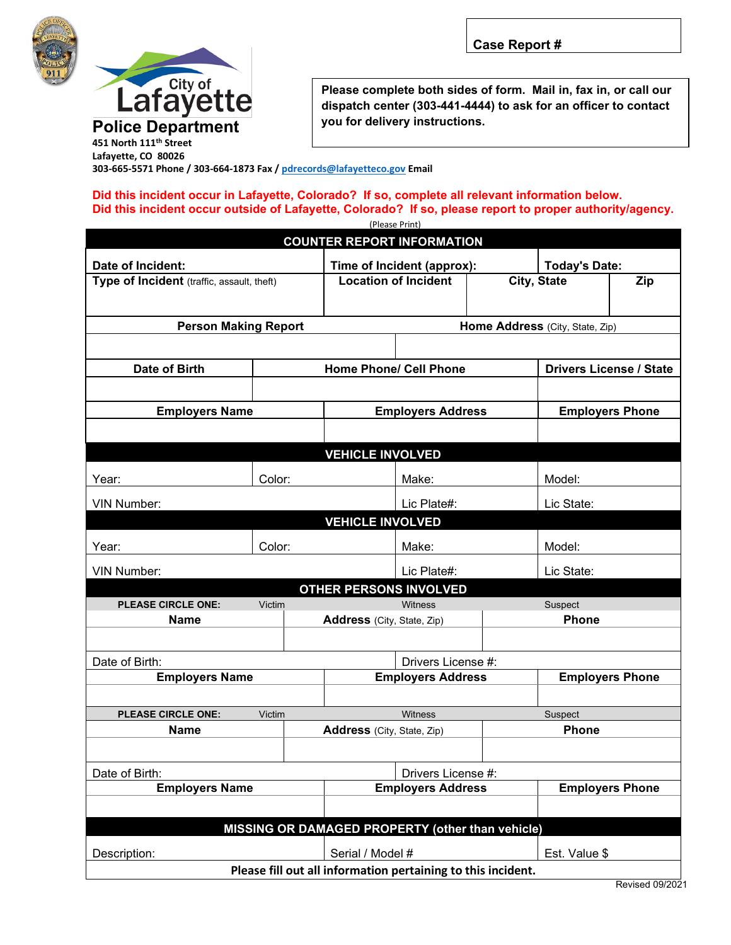



**Please complete both sides of form. Mail in, fax in, or call our dispatch center (303-441-4444) to ask for an officer to contact you for delivery instructions.**

**Lafayette, CO 80026 303-665-5571 Phone / 303-664-1873 Fax / [pdrecords@lafayetteco.gov](mailto:pdrecords@lafayetteco.gov) Email**

## **Did this incident occur in Lafayette, Colorado? If so, complete all relevant information below. Did this incident occur outside of Lafayette, Colorado? If so, please report to proper authority/agency.**

| (Please Print)                                               |                                                |                                 |                                                   |                        |                                |  |  |  |
|--------------------------------------------------------------|------------------------------------------------|---------------------------------|---------------------------------------------------|------------------------|--------------------------------|--|--|--|
| <b>COUNTER REPORT INFORMATION</b>                            |                                                |                                 |                                                   |                        |                                |  |  |  |
|                                                              |                                                |                                 |                                                   |                        |                                |  |  |  |
| Date of Incident:                                            |                                                |                                 | Time of Incident (approx):                        |                        | <b>Today's Date:</b>           |  |  |  |
| Type of Incident (traffic, assault, theft)                   |                                                |                                 | <b>Location of Incident</b>                       |                        | City, State<br>Zip             |  |  |  |
|                                                              |                                                |                                 |                                                   |                        |                                |  |  |  |
| <b>Person Making Report</b>                                  |                                                | Home Address (City, State, Zip) |                                                   |                        |                                |  |  |  |
|                                                              |                                                |                                 |                                                   |                        |                                |  |  |  |
|                                                              |                                                |                                 |                                                   |                        |                                |  |  |  |
| Date of Birth                                                |                                                |                                 | <b>Home Phone/ Cell Phone</b>                     |                        | <b>Drivers License / State</b> |  |  |  |
|                                                              |                                                |                                 |                                                   |                        |                                |  |  |  |
| <b>Employers Name</b>                                        |                                                |                                 | <b>Employers Address</b>                          |                        | <b>Employers Phone</b>         |  |  |  |
|                                                              |                                                |                                 |                                                   |                        |                                |  |  |  |
|                                                              |                                                |                                 |                                                   |                        |                                |  |  |  |
| <b>VEHICLE INVOLVED</b>                                      |                                                |                                 |                                                   |                        |                                |  |  |  |
| Year:                                                        | Color:                                         | Make:                           |                                                   |                        | Model:                         |  |  |  |
|                                                              |                                                |                                 |                                                   |                        |                                |  |  |  |
| VIN Number:                                                  |                                                | Lic Plate#:                     |                                                   | Lic State:             |                                |  |  |  |
| <b>VEHICLE INVOLVED</b>                                      |                                                |                                 |                                                   |                        |                                |  |  |  |
| Year:                                                        | Color:                                         | Make:                           |                                                   | Model:                 |                                |  |  |  |
|                                                              |                                                |                                 |                                                   |                        |                                |  |  |  |
| <b>VIN Number:</b><br>Lic Plate#:<br>Lic State:              |                                                |                                 |                                                   |                        |                                |  |  |  |
| <b>OTHER PERSONS INVOLVED</b>                                |                                                |                                 |                                                   |                        |                                |  |  |  |
| <b>PLEASE CIRCLE ONE:</b><br><b>Name</b>                     | Victim                                         |                                 | <b>Witness</b>                                    | Suspect                |                                |  |  |  |
|                                                              |                                                |                                 | <b>Phone</b><br><b>Address</b> (City, State, Zip) |                        |                                |  |  |  |
|                                                              |                                                |                                 |                                                   |                        |                                |  |  |  |
| Date of Birth:                                               |                                                |                                 | Drivers License #:                                |                        |                                |  |  |  |
| <b>Employers Name</b>                                        |                                                |                                 | <b>Employers Address</b>                          |                        | <b>Employers Phone</b>         |  |  |  |
|                                                              |                                                |                                 |                                                   |                        |                                |  |  |  |
| <b>PLEASE CIRCLE ONE:</b>                                    | Victim                                         | <b>Witness</b>                  |                                                   |                        | Suspect                        |  |  |  |
| <b>Name</b>                                                  |                                                | Address (City, State, Zip)      |                                                   |                        | <b>Phone</b>                   |  |  |  |
|                                                              |                                                |                                 |                                                   |                        |                                |  |  |  |
|                                                              |                                                |                                 |                                                   |                        |                                |  |  |  |
| Date of Birth:<br><b>Employers Name</b>                      | Drivers License #:<br><b>Employers Address</b> |                                 |                                                   | <b>Employers Phone</b> |                                |  |  |  |
|                                                              |                                                |                                 |                                                   |                        |                                |  |  |  |
|                                                              |                                                |                                 |                                                   |                        |                                |  |  |  |
| MISSING OR DAMAGED PROPERTY (other than vehicle)             |                                                |                                 |                                                   |                        |                                |  |  |  |
| Serial / Model #<br>Est. Value \$<br>Description:            |                                                |                                 |                                                   |                        |                                |  |  |  |
| Please fill out all information pertaining to this incident. |                                                |                                 |                                                   |                        |                                |  |  |  |